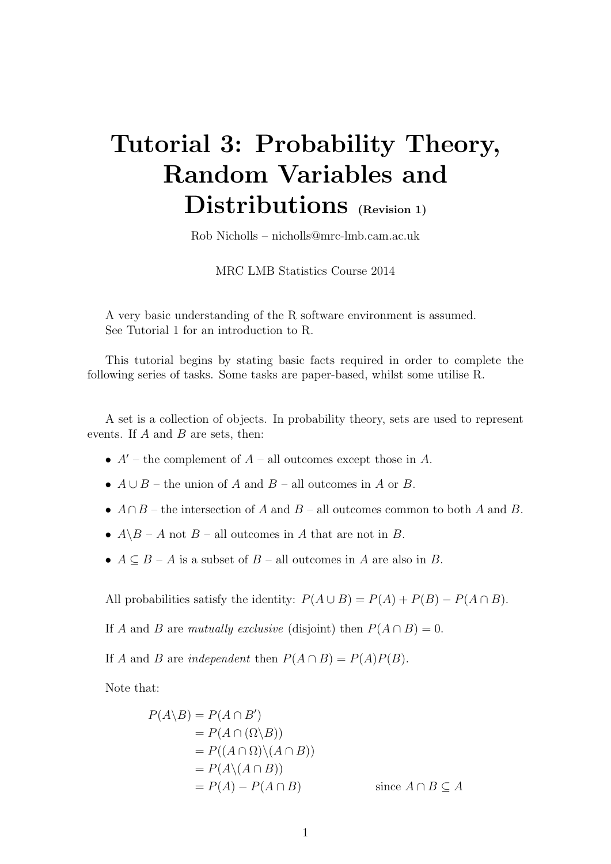# Tutorial 3: Probability Theory, Random Variables and Distributions (Revision 1)

Rob Nicholls – nicholls@mrc-lmb.cam.ac.uk

MRC LMB Statistics Course 2014

A very basic understanding of the R software environment is assumed. See Tutorial 1 for an introduction to R.

This tutorial begins by stating basic facts required in order to complete the following series of tasks. Some tasks are paper-based, whilst some utilise R.

A set is a collection of objects. In probability theory, sets are used to represent events. If  $A$  and  $B$  are sets, then:

- $A'$  the complement of  $A$  all outcomes except those in A.
- $A \cup B$  the union of A and B all outcomes in A or B.
- $A \cap B$  the intersection of A and B all outcomes common to both A and B.
- $A \ B A$  not  $B$  all outcomes in A that are not in B.
- $A \subseteq B A$  is a subset of  $B$  all outcomes in A are also in B.

All probabilities satisfy the identity:  $P(A \cup B) = P(A) + P(B) - P(A \cap B)$ .

If A and B are mutually exclusive (disjoint) then  $P(A \cap B) = 0$ .

If A and B are independent then  $P(A \cap B) = P(A)P(B)$ .

Note that:

$$
P(A \setminus B) = P(A \cap B')
$$
  
=  $P(A \cap (\Omega \setminus B))$   
=  $P((A \cap \Omega) \setminus (A \cap B))$   
=  $P(A \setminus (A \cap B))$   
=  $P(A) - P(A \cap B)$  since  $A \cap B \subseteq A$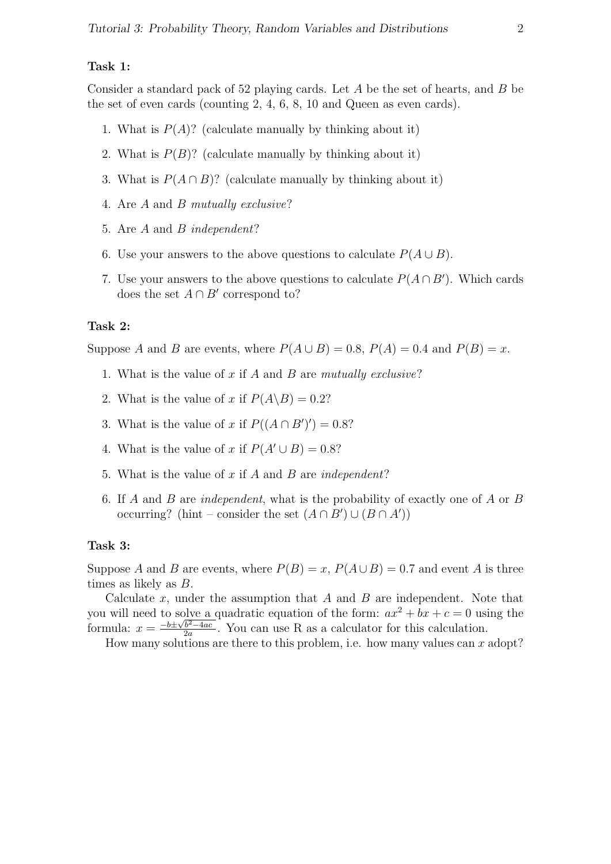#### Task 1:

Consider a standard pack of 52 playing cards. Let A be the set of hearts, and B be the set of even cards (counting 2, 4, 6, 8, 10 and Queen as even cards).

- 1. What is  $P(A)$ ? (calculate manually by thinking about it)
- 2. What is  $P(B)$ ? (calculate manually by thinking about it)
- 3. What is  $P(A \cap B)$ ? (calculate manually by thinking about it)
- 4. Are A and B mutually exclusive?
- 5. Are A and B independent?
- 6. Use your answers to the above questions to calculate  $P(A \cup B)$ .
- 7. Use your answers to the above questions to calculate  $P(A \cap B')$ . Which cards does the set  $A \cap B'$  correspond to?

### Task 2:

Suppose A and B are events, where  $P(A \cup B) = 0.8$ ,  $P(A) = 0.4$  and  $P(B) = x$ .

- 1. What is the value of x if A and B are mutually exclusive?
- 2. What is the value of x if  $P(A \backslash B) = 0.2$ ?
- 3. What is the value of x if  $P((A \cap B')') = 0.8$ ?
- 4. What is the value of x if  $P(A' \cup B) = 0.8$ ?
- 5. What is the value of x if A and B are independent?
- 6. If A and B are independent, what is the probability of exactly one of A or B occurring? (hint – consider the set  $(A \cap B') \cup (B \cap A')$ )

#### Task 3:

Suppose A and B are events, where  $P(B) = x$ ,  $P(A \cup B) = 0.7$  and event A is three times as likely as B.

Calculate  $x$ , under the assumption that  $A$  and  $B$  are independent. Note that you will need to solve a quadratic equation of the form:  $ax^2 + bx + c = 0$  using the formula:  $x = \frac{-b \pm \sqrt{b^2 - 4ac}}{2a}$  $\frac{b^2-4ac}{2a}$ . You can use R as a calculator for this calculation.

How many solutions are there to this problem, i.e. how many values can  $x$  adopt?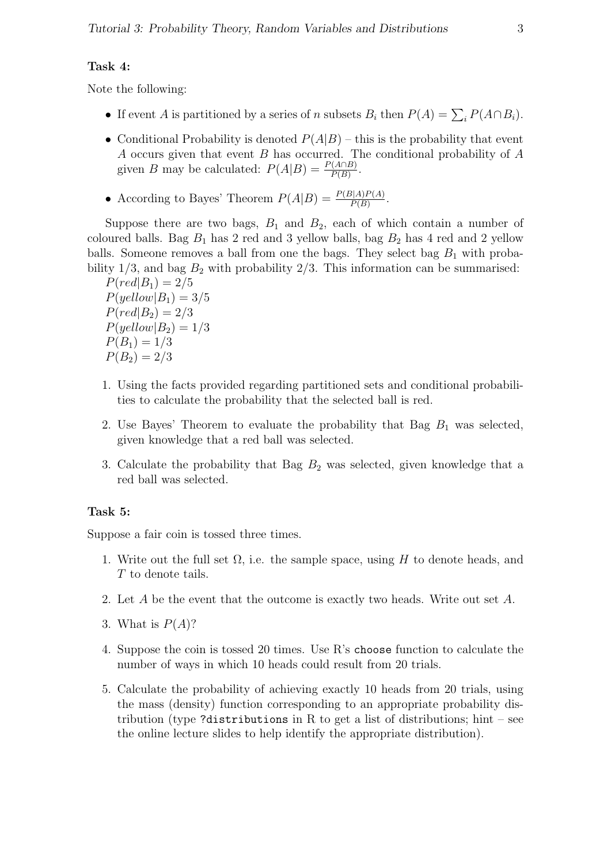#### Task 4:

Note the following:

- If event A is partitioned by a series of n subsets  $B_i$  then  $P(A) = \sum_i P(A \cap B_i)$ .
- Conditional Probability is denoted  $P(A|B)$  this is the probability that event A occurs given that event  $B$  has occurred. The conditional probability of  $A$ given B may be calculated:  $P(A|B) = \frac{P(A \cap B)}{P(B)}$ .
- According to Bayes' Theorem  $P(A|B) = \frac{P(B|A)P(A)}{P(B)}$ .

Suppose there are two bags,  $B_1$  and  $B_2$ , each of which contain a number of coloured balls. Bag  $B_1$  has 2 red and 3 yellow balls, bag  $B_2$  has 4 red and 2 yellow balls. Someone removes a ball from one the bags. They select bag  $B_1$  with probability  $1/3$ , and bag  $B_2$  with probability  $2/3$ . This information can be summarised:

 $P(\text{red}|B_1) = 2/5$  $P(yellow|B_1) = 3/5$  $P(\text{red}|B_2) = 2/3$  $P(yellow|B_2) = 1/3$  $P(B_1) = 1/3$  $P(B_2) = 2/3$ 

- 1. Using the facts provided regarding partitioned sets and conditional probabilities to calculate the probability that the selected ball is red.
- 2. Use Bayes' Theorem to evaluate the probability that Bag  $B_1$  was selected, given knowledge that a red ball was selected.
- 3. Calculate the probability that Bag  $B_2$  was selected, given knowledge that a red ball was selected.

#### Task 5:

Suppose a fair coin is tossed three times.

- 1. Write out the full set  $\Omega$ , i.e. the sample space, using H to denote heads, and T to denote tails.
- 2. Let A be the event that the outcome is exactly two heads. Write out set A.
- 3. What is  $P(A)$ ?
- 4. Suppose the coin is tossed 20 times. Use R's choose function to calculate the number of ways in which 10 heads could result from 20 trials.
- 5. Calculate the probability of achieving exactly 10 heads from 20 trials, using the mass (density) function corresponding to an appropriate probability distribution (type ?distributions in R to get a list of distributions; hint – see the online lecture slides to help identify the appropriate distribution).